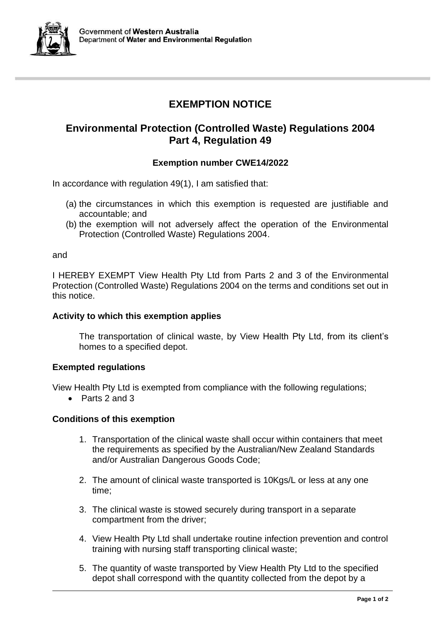

# **EXEMPTION NOTICE**

## **Environmental Protection (Controlled Waste) Regulations 2004 Part 4, Regulation 49**

### **Exemption number CWE14/2022**

In accordance with regulation 49(1), I am satisfied that:

- (a) the circumstances in which this exemption is requested are justifiable and accountable; and
- (b) the exemption will not adversely affect the operation of the Environmental Protection (Controlled Waste) Regulations 2004.

and

I HEREBY EXEMPT View Health Pty Ltd from Parts 2 and 3 of the Environmental Protection (Controlled Waste) Regulations 2004 on the terms and conditions set out in this notice.

#### **Activity to which this exemption applies**

The transportation of clinical waste, by View Health Pty Ltd, from its client's homes to a specified depot.

#### **Exempted regulations**

View Health Pty Ltd is exempted from compliance with the following regulations;

• Parts 2 and 3

#### **Conditions of this exemption**

- 1. Transportation of the clinical waste shall occur within containers that meet the requirements as specified by the Australian/New Zealand Standards and/or Australian Dangerous Goods Code;
- 2. The amount of clinical waste transported is 10Kgs/L or less at any one time;
- 3. The clinical waste is stowed securely during transport in a separate compartment from the driver;
- 4. View Health Pty Ltd shall undertake routine infection prevention and control training with nursing staff transporting clinical waste;
- 5. The quantity of waste transported by View Health Pty Ltd to the specified depot shall correspond with the quantity collected from the depot by a